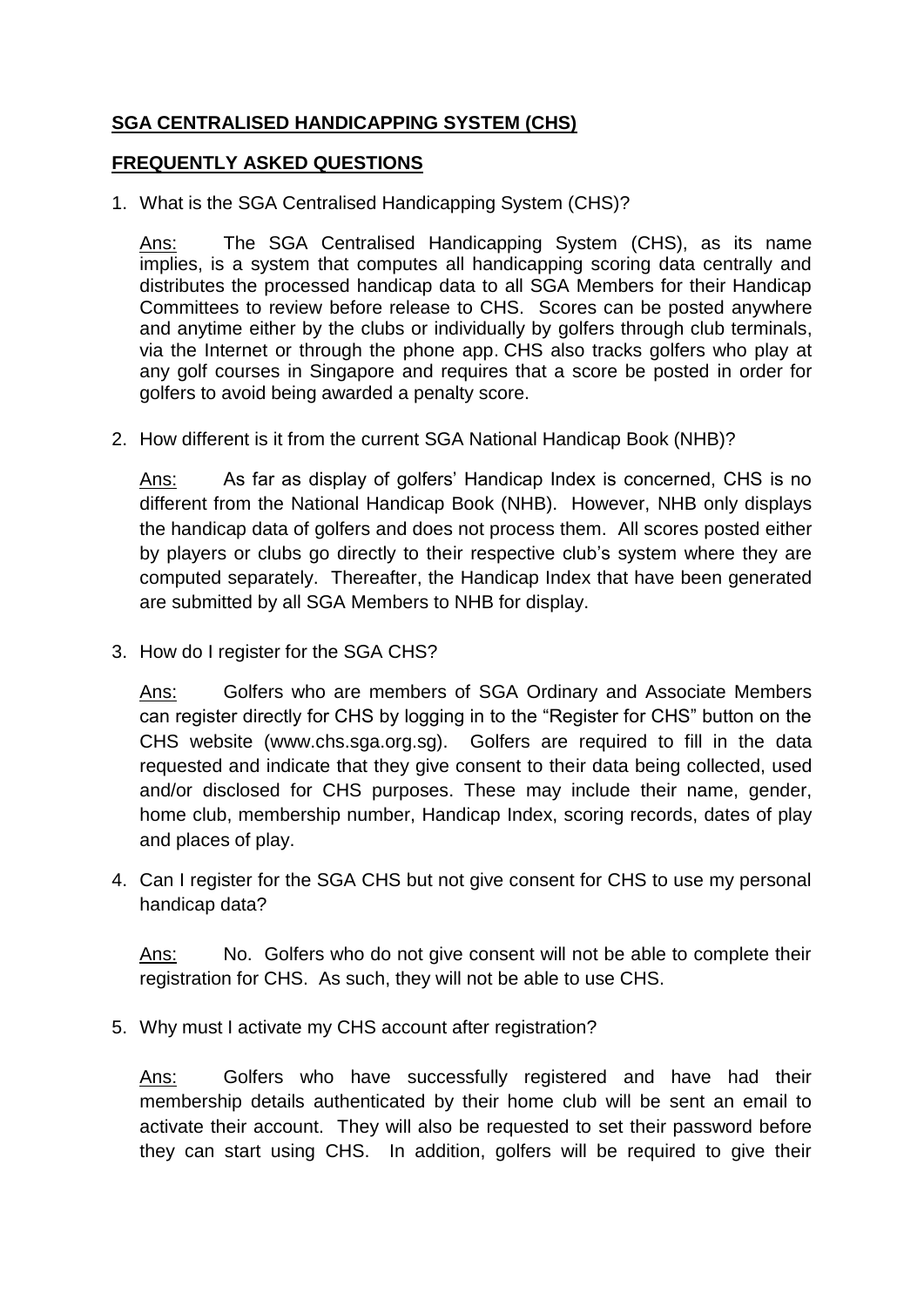## **SGA CENTRALISED HANDICAPPING SYSTEM (CHS)**

## **FREQUENTLY ASKED QUESTIONS**

1. What is the SGA Centralised Handicapping System (CHS)?

Ans: The SGA Centralised Handicapping System (CHS), as its name implies, is a system that computes all handicapping scoring data centrally and distributes the processed handicap data to all SGA Members for their Handicap Committees to review before release to CHS. Scores can be posted anywhere and anytime either by the clubs or individually by golfers through club terminals, via the Internet or through the phone app. CHS also tracks golfers who play at any golf courses in Singapore and requires that a score be posted in order for golfers to avoid being awarded a penalty score.

2. How different is it from the current SGA National Handicap Book (NHB)?

Ans: As far as display of golfers' Handicap Index is concerned, CHS is no different from the National Handicap Book (NHB). However, NHB only displays the handicap data of golfers and does not process them. All scores posted either by players or clubs go directly to their respective club's system where they are computed separately. Thereafter, the Handicap Index that have been generated are submitted by all SGA Members to NHB for display.

3. How do I register for the SGA CHS?

Ans: Golfers who are members of SGA Ordinary and Associate Members can register directly for CHS by logging in to the "Register for CHS" button on the CHS website (www.chs.sga.org.sg). Golfers are required to fill in the data requested and indicate that they give consent to their data being collected, used and/or disclosed for CHS purposes. These may include their name, gender, home club, membership number, Handicap Index, scoring records, dates of play and places of play.

4. Can I register for the SGA CHS but not give consent for CHS to use my personal handicap data?

Ans: No. Golfers who do not give consent will not be able to complete their registration for CHS. As such, they will not be able to use CHS.

5. Why must I activate my CHS account after registration?

Ans: Golfers who have successfully registered and have had their membership details authenticated by their home club will be sent an email to activate their account. They will also be requested to set their password before they can start using CHS. In addition, golfers will be required to give their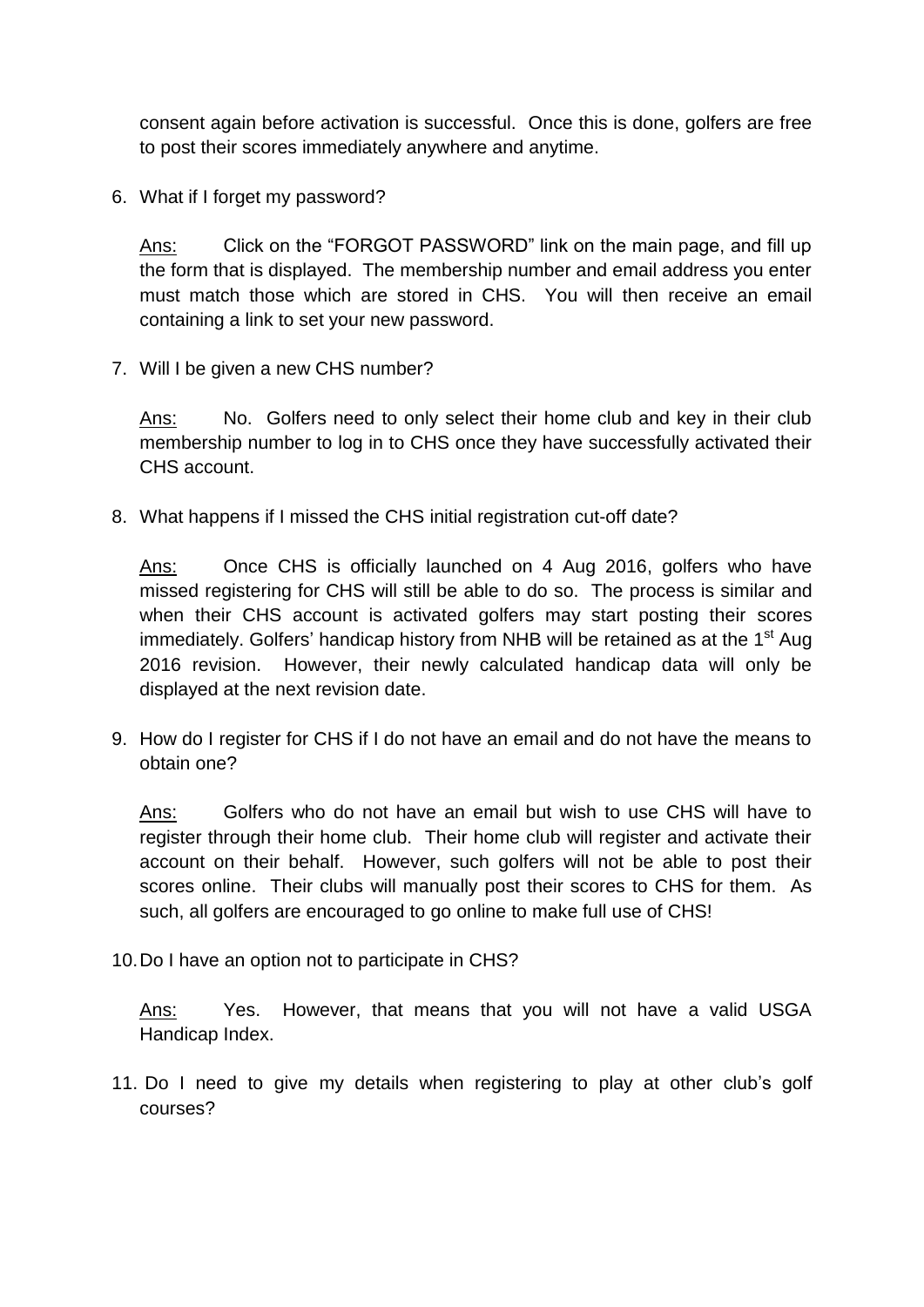consent again before activation is successful. Once this is done, golfers are free to post their scores immediately anywhere and anytime.

6. What if I forget my password?

Ans: Click on the "FORGOT PASSWORD" link on the main page, and fill up the form that is displayed. The membership number and email address you enter must match those which are stored in CHS. You will then receive an email containing a link to set your new password.

7. Will I be given a new CHS number?

Ans: No. Golfers need to only select their home club and key in their club membership number to log in to CHS once they have successfully activated their CHS account.

8. What happens if I missed the CHS initial registration cut-off date?

Ans: Once CHS is officially launched on 4 Aug 2016, golfers who have missed registering for CHS will still be able to do so. The process is similar and when their CHS account is activated golfers may start posting their scores immediately. Golfers' handicap history from NHB will be retained as at the 1<sup>st</sup> Aug 2016 revision. However, their newly calculated handicap data will only be displayed at the next revision date.

9. How do I register for CHS if I do not have an email and do not have the means to obtain one?

Ans: Golfers who do not have an email but wish to use CHS will have to register through their home club. Their home club will register and activate their account on their behalf. However, such golfers will not be able to post their scores online. Their clubs will manually post their scores to CHS for them. As such, all golfers are encouraged to go online to make full use of CHS!

10.Do I have an option not to participate in CHS?

Ans: Yes. However, that means that you will not have a valid USGA Handicap Index.

11. Do I need to give my details when registering to play at other club's golf courses?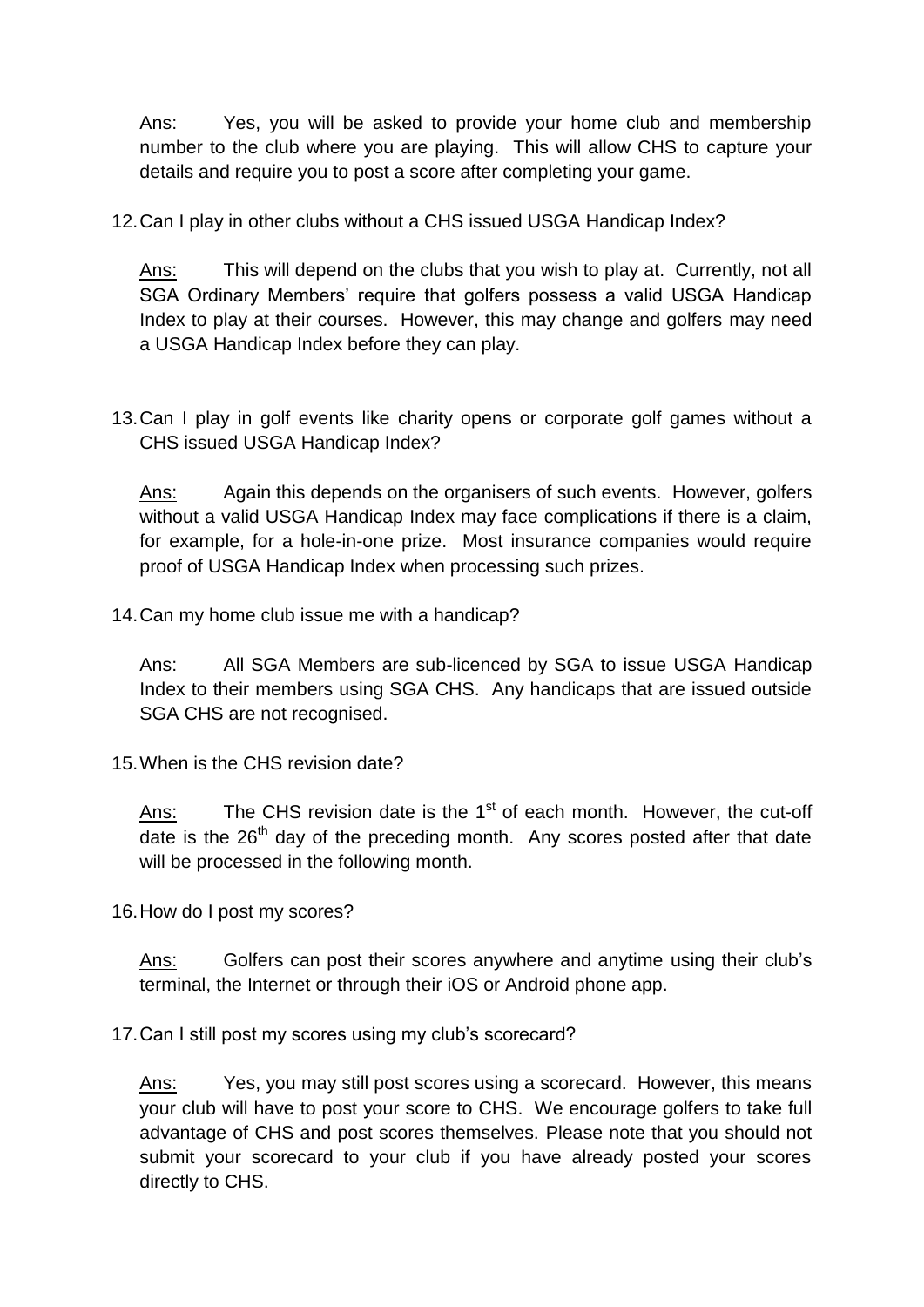Ans: Yes, you will be asked to provide your home club and membership number to the club where you are playing. This will allow CHS to capture your details and require you to post a score after completing your game.

12.Can I play in other clubs without a CHS issued USGA Handicap Index?

Ans: This will depend on the clubs that you wish to play at. Currently, not all SGA Ordinary Members' require that golfers possess a valid USGA Handicap Index to play at their courses. However, this may change and golfers may need a USGA Handicap Index before they can play.

13.Can I play in golf events like charity opens or corporate golf games without a CHS issued USGA Handicap Index?

Ans: Again this depends on the organisers of such events. However, golfers without a valid USGA Handicap Index may face complications if there is a claim, for example, for a hole-in-one prize. Most insurance companies would require proof of USGA Handicap Index when processing such prizes.

14.Can my home club issue me with a handicap?

Ans: All SGA Members are sub-licenced by SGA to issue USGA Handicap Index to their members using SGA CHS. Any handicaps that are issued outside SGA CHS are not recognised.

15.When is the CHS revision date?

 $Ans:$  The CHS revision date is the 1<sup>st</sup> of each month. However, the cut-off  $\overline{data}$  is the 26<sup>th</sup> day of the preceding month. Any scores posted after that date will be processed in the following month.

16.How do I post my scores?

Ans: Golfers can post their scores anywhere and anytime using their club's terminal, the Internet or through their iOS or Android phone app.

17.Can I still post my scores using my club's scorecard?

Ans: Yes, you may still post scores using a scorecard. However, this means your club will have to post your score to CHS. We encourage golfers to take full advantage of CHS and post scores themselves. Please note that you should not submit your scorecard to your club if you have already posted your scores directly to CHS.